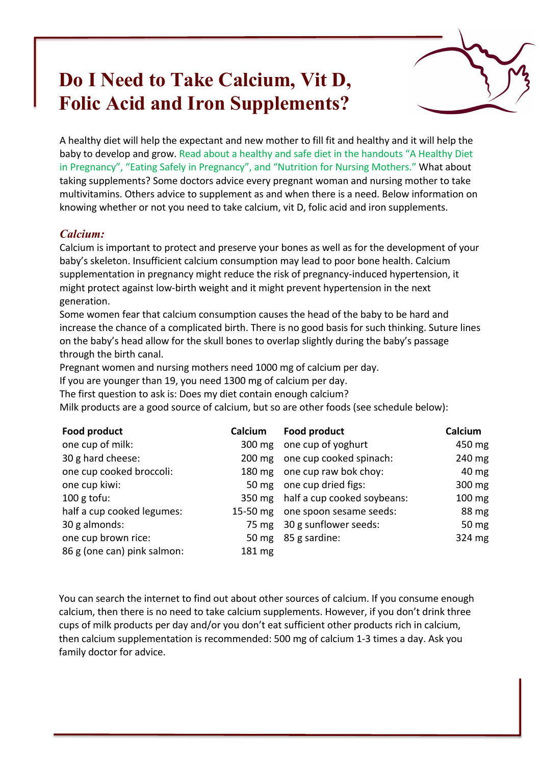# **Do I Need to Take Calcium, Vit D, Folic Acid and Iron Supplements?**



A healthy diet will help the expectant and new mother to fill fit and healthy and it will help the baby to develop and grow. Read about a healthy and safe diet in the handouts "A Healthy Diet in Pregnancy", "Eating Safely in Pregnancy", and "Nutrition for Nursing Mothers." What about taking supplements? Some doctors advice every pregnant woman and nursing mother to take multivitamins. Others advice to supplement as and when there is a need. Below information on knowing whether or not you need to take calcium, vit D, folic acid and iron supplements.

### *Calcium:*

Calcium is important to protect and preserve your bones as well as for the development of your baby's skeleton. Insufficient calcium consumption may lead to poor bone health. Calcium supplementation in pregnancy might reduce the risk of pregnancy-induced hypertension, it might protect against low-birth weight and it might prevent hypertension in the next generation.

Some women fear that calcium consumption causes the head of the baby to be hard and increase the chance of a complicated birth. There is no good basis for such thinking. Suture lines on the baby's head allow for the skull bones to overlap slightly during the baby's passage through the birth canal.

Pregnant women and nursing mothers need 1000 mg of calcium per day.

If you are younger than 19, you need 1300 mg of calcium per day.

The first question to ask is: Does my diet contain enough calcium?

Milk products are a good source of calcium, but so are other foods (see schedule below):

| Food product                | Calcium | Food product                       | Calcium |
|-----------------------------|---------|------------------------------------|---------|
| one cup of milk:            |         | 300 mg one cup of yoghurt          | 450 mg  |
| 30 g hard cheese:           |         | 200 mg one cup cooked spinach:     | 240 mg  |
| one cup cooked broccoli:    |         | 180 mg one cup raw bok choy:       | 40 mg   |
| one cup kiwi:               |         | 50 mg one cup dried figs:          | 300 mg  |
| 100 g tofu:                 |         | 350 mg half a cup cooked soybeans: | 100 mg  |
| half a cup cooked legumes:  |         | 15-50 mg one spoon sesame seeds:   | 88 mg   |
| 30 g almonds:               |         | 75 mg 30 g sunflower seeds:        | 50 mg   |
| one cup brown rice:         |         | 50 mg 85 g sardine:                | 324 mg  |
| 86 g (one can) pink salmon: | 181 mg  |                                    |         |

You can search the internet to find out about other sources of calcium. If you consume enough calcium, then there is no need to take calcium supplements. However, if you don't drink three cups of milk products per day and/or you don't eat sufficient other products rich in calcium, then calcium supplementation is recommended: 500 mg of calcium 1-3 times a day. Ask you family doctor for advice.